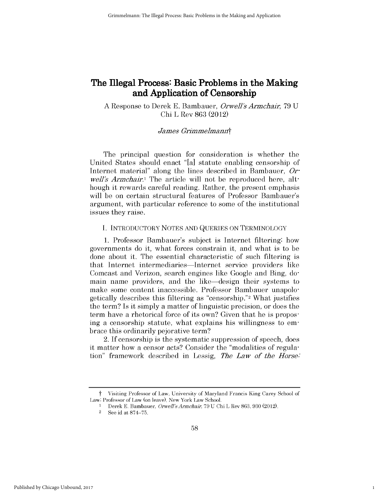# **The Illegal Process: Basic Problems in the Making and Application of Censorship**

A Response to Derek E. Bambauer, *Orwell's Armchair,* 79 U Chi L Rev 863 (2012)

## *James Grimme]mannt*

The principal question for consideration is whether the United States should enact "[a] statute enabling censorship of Internet material" along the lines described in Bambauer, *Orwell's Armchair.*<sup>1</sup> The article will not be reproduced here, although it rewards careful reading. Rather, the present emphasis will be on certain structural features of Professor Bambauer's argument, with particular reference to some of the institutional issues they raise.

## I. INTRODUCTORY NOTES AND QUERIES ON TERMINOLOGY

1. Professor Bambauer's subject is Internet filtering: how governments do it, what forces constrain it, and what is to be done about it. The essential characteristic of such filtering is that Internet intermediaries-Internet service providers like Comcast and Verizon, search engines like Google and Bing, domain name providers, and the like-design their systems to make some content inaccessible. Professor Bambauer unapologetically describes this filtering as "censorship." 2 What justifies the term? Is it simply a matter of linguistic precision, or does the term have a rhetorical force of its own? Given that he is proposing a censorship statute, what explains his willingness to embrace this ordinarily pejorative term?

2. If censorship is the systematic suppression of speech, does it matter how a censor acts? Consider the "modalities of regulation" framework described in Lessig, *The Law of* the *Horse.'*

Visiting Professor of Law, University of Maryland Francis King Carey School of Law; Professor of Law (on leave), New York Law School.

<sup>1</sup> Derek E. Bambauer, *Orwell 'Armchair,* 79 U Chi L Rev 863, 930 (2012).

 $2$  See id at  $874 - 75$ .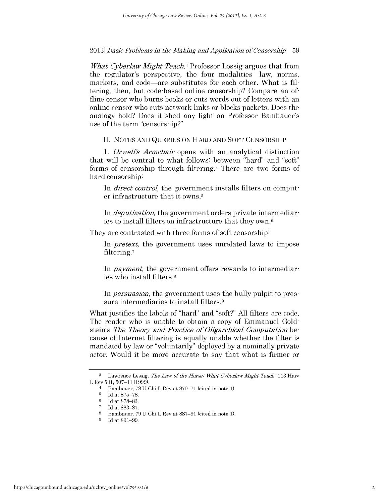2013] *Basic Probloms in the Making and Application of Consors-hip* <sup>59</sup>

*What Cyberlaw Might Teach.3* Professor Lessig argues that from the regulator's perspective, the four modalities—law, norms, markets, and code—are substitutes for each other. What is filtering, then, but code-based online censorship? Compare an of fline censor who burns books or cuts words out of letters with an online censor who cuts network links or blocks packets. Does the analogy hold? Does it shed any light on Professor Bambauer's use of the term "censorship?"

II. NOTES AND QUERIES ON HARD AND SOFT CENSORSHIP

*1. Orwell's Armchair* opens with an analytical distinction that will be central to what follows: between "hard" and "soft" forms of censorship through filtering.<sup>4</sup> There are two forms of hard censorship:

In *direct control*, the government installs filters on computer infrastructure that it owns. <sup>5</sup>

In *deputization*, the government orders private intermediaries to install filters on infrastructure that they own.6

They are contrasted with three forms of soft censorship:

In *pretext,* the government uses unrelated laws to impose filtering.'

In *payment*, the government offers rewards to intermediaries who install filters.8

In *persuasion*, the government uses the bully pulpit to pressure intermediaries to install filters.<sup>9</sup>

What justifies the labels of "hard" and "soft?" All filters are code. The reader who is unable to obtain a copy of Emmanuel Goldstein's *The Theory and Practice of Oligarchical Computation be*cause of Internet filtering is equally unable whether the filter is mandated by law or "voluntarily" deployed by a nominally private actor. Would it be more accurate to say that what is firmer or

**<sup>3</sup>** Lawrence Lessig, *Tho Law of tho Horso What CyberlawMight Toach,* 113 Harv L Rev 501, 507-11 (1999).

<sup>4</sup> Bambauer, 79 U Chi L Rev at 870-71 (cited in note 1).

**<sup>5</sup>**Id at 875-78. 6 Id at 878-83.

**<sup>7</sup>**Id at 883-87.

<sup>8</sup> Bambauer, 79 U Chi L Rev at 887-91 (cited in note 1).

<sup>9</sup> Id at 891-99.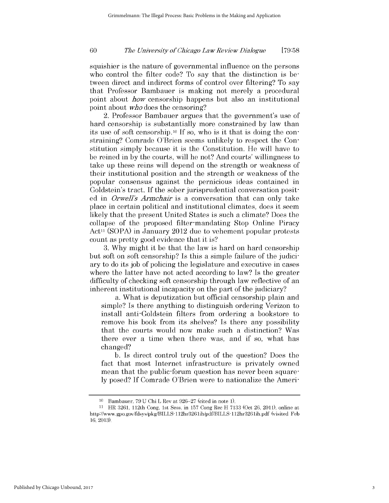#### 60 *The University of Ohicago Law Review Dialogue* **[79:58**

squishier is the nature of governmental influence on the persons who control the filter code? To say that the distinction is between direct and indirect forms of control over filtering? To say that Professor Bambauer is making not merely a procedural point about *how* censorship happens but also an institutional point about *who* does the censoring?

2. Professor Bambauer argues that the government's use of hard censorship is substantially more constrained by law than its use of soft censorship.10 If so, who is it that is doing the constraining? Comrade O'Brien seems unlikely to respect the Constitution simply because it is the Constitution. He will have to be reined in by the courts, will he not? And courts' willingness to take up these reins will depend on the strength or weakness of their institutional position and the strength or weakness of the popular consensus against the pernicious ideas contained in Goldstein's tract. If the sober jurisprudential conversation posited in *Orwell's Armchair* is a conversation that can only take place in certain political and institutional climates, does it seem likely that the present United States is such a climate? Does the collapse of the proposed filter-mandating Stop Online Piracy  $Act<sup>11</sup>$  (SOPA) in January 2012 due to vehement popular protests count as pretty good evidence that it is?

3. Why might it be that the law is hard on hard censorship but soft on soft censorship? Is this a simple failure of the judiciary to do its job of policing the legislature and executive in cases where the latter have not acted according to law? Is the greater difficulty of checking soft censorship through law reflective of an inherent institutional incapacity on the part of the judiciary?

a. What is deputization but official censorship plain and simple? Is there anything to distinguish ordering Verizon to install anti-Goldstein filters from ordering a bookstore to remove his book from its shelves? Is there any possibility that the courts would now make such a distinction? Was there ever a time when there was, and if so, what has changed?

b. Is direct control truly out of the question? Does the fact that most Internet infrastructure is privately owned mean that the public-forum question has never been squarely posed? If Comrade O'Brien were to nationalize the Ameri-

<sup>10</sup> Bambauer, 79 U Chi L Rev at 926-27 (cited in note 1).

<sup>11</sup> HR 3261, 112th Cong, 1st Sess, in 157 Cong Rec H 7133 (Oct 26, 2011), online at http://www.gpo.gov/fdsys/pkg/BILLS-112hr326lih/pdf/BILLS-112hr326lih.pdf (visited Feb 16, 2013).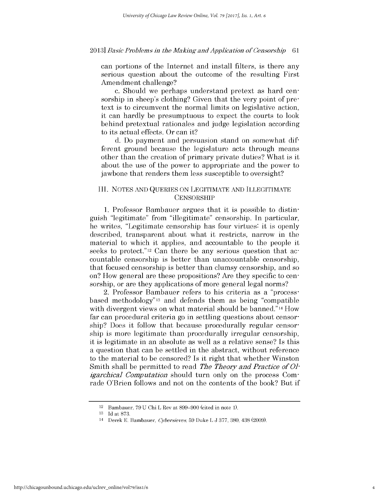### 2013] *Basic Probloms in the Making and Application of Consorship 61*

can portions of the Internet and install filters, is there any serious question about the outcome of the resulting First Amendment challenge?

c. Should we perhaps understand pretext as hard censorship in sheep's clothing? Given that the very point of pretext is to circumvent the normal limits on legislative action, it can hardly be presumptuous to expect the courts to look behind pretextual rationales and judge legislation according to its actual effects. Or can it?

d. Do payment and persuasion stand on somewhat different ground because the legislature acts through means other than the creation of primary private duties? What is it about the use of the power to appropriate and the power to jawbone that renders them less susceptible to oversight?

## III. NOTES AND QUERIES ON LEGITIMATE AND ILLEGITIMATE **CENSORSHIP**

1. Professor Bambauer argues that it is possible to distinguish "legitimate" from "illegitimate" censorship. In particular, he writes, "Legitimate censorship has four virtues: it is openly described, transparent about what it restricts, narrow in the material to which it applies, and accountable to the people it seeks to protect."<sup>12</sup> Can there be any serious question that accountable censorship is better than unaccountable censorship, that focused censorship is better than clumsy censorship, and so on? How general are these propositions? Are they specific to censorship, or are they applications of more general legal norms?

2. Professor Bambauer refers to his criteria as a "processbased methodology"13 and defends them as being "compatible with divergent views on what material should be banned."<sup>14</sup> How far can procedural criteria go in settling questions about censorship? Does it follow that because procedurally regular censorship is more legitimate than procedurally irregular censorship, it is legitimate in an absolute as well as a relative sense? Is this a question that can be settled in the abstract, without reference to the material to be censored? Is it right that whether Winston Smith shall be permitted to read *The Theory and Practice of 0] igarchical Computation* should turn only on the process Comrade O'Brien follows and not on the contents of the book? But if

<sup>12</sup> Bambauer, 79 U Chi L Rev at 899-900 (cited in note 1).

<sup>13</sup> Id at 873.

<sup>14</sup> Derek E. Bambauer, *Cyborsiovos,* 59 Duke L **J** 377, 380, 438 (2009).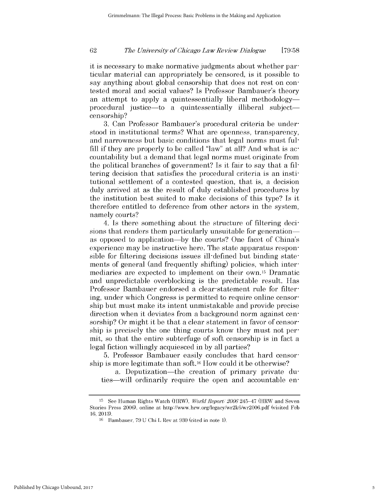#### 62 *The Univorsity of Ohicago Law Roviow Dialogue* **[79:58**

it is necessary to make normative judgments about whether particular material can appropriately be censored, is it possible to say anything about global censorship that does not rest on contested moral and social values? Is Professor Bambauer's theory an attempt to apply a quintessentially liberal methodology procedural justice—to a quintessentially illiberal subject censorship?

3. Can Professor Bambauer's procedural criteria be understood in institutional terms? What are openness, transparency, and narrowness but basic conditions that legal norms must fulfill if they are properly to be called "law" at all? And what is accountability but a demand that legal norms must originate from the political branches of government? Is it fair to say that a filtering decision that satisfies the procedural criteria is an institutional settlement of a contested question, that is, a decision duly arrived at as the result of duly established procedures by the institution best suited to make decisions of this type? Is it therefore entitled to deference from other actors in the system, namely courts?

4. Is there something about the structure of filtering decisions that renders them particularly unsuitable for generation as opposed to application-by the courts? One facet of China's experience may be instructive here. The state apparatus responsible for filtering decisions issues ill-defined but binding statements of general (and frequently shifting) policies, which intermediaries are expected to implement on their own. 15 Dramatic and unpredictable overblocking is the predictable result. Has Professor Bambauer endorsed a clear-statement rule for filtering, under which Congress is permitted to require online censorship but must make its intent unmistakable and provide precise direction when it deviates from a background norm against censorship? Or might it be that a clear statement in favor of censorship is precisely the one thing courts know they must not permit, so that the entire subterfuge of soft censorship is in fact a legal fiction willingly acquiesced in by all parties?

5. Professor Bambauer easily concludes that hard censorship is more legitimate than soft. 16 How could it be otherwise?

a. Deputization—the creation of primary private duties—will ordinarily require the open and accountable en-

<sup>15</sup> See Human Rights Watch (HRW), *World Report 2006* 245-47 (HRW and Seven Stories Press 2006), online at http://www.hrw.org/legacy/wr2k6/wr2006.pdf (visited Feb 16, 2013).

<sup>16</sup> Bambauer, 79 U Chi L Rev at 930 (cited in note 1).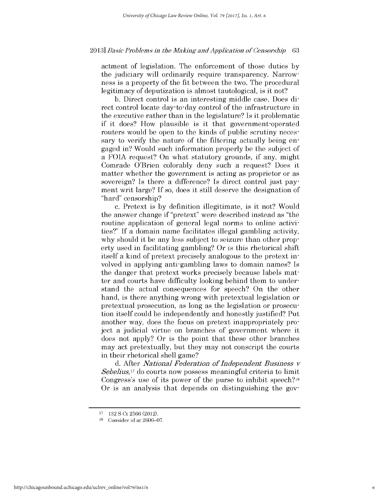### 2013] *Basic Problems in the Making and Application of Censorship* 63

actment of legislation. The enforcement of those duties by the judiciary will ordinarily require transparency. Narrowness is a property of the fit between the two. The procedural legitimacy of deputization is almost tautological, is it not?

b. Direct control is an interesting middle case. Does direct control locate day-to-day control of the infrastructure in the executive rather than in the legislature? Is it problematic if it does? How plausible is it that government-operated routers would be open to the kinds of public scrutiny necessary to verify the nature of the filtering actually being engaged in? Would such information properly be the subject of a **FOIA** request? On what statutory grounds, if any, might Comrade O'Brien colorably deny such a request? Does it matter whether the government is acting as proprietor or as sovereign? Is there a difference? Is direct control just payment writ large? If so, does it still deserve the designation of "hard" censorship?

c. Pretext is by definition illegitimate, is it not? Would the answer change if "pretext" were described instead as "the routine application of general legal norms to online activities?" If a domain name facilitates illegal gambling activity, why should it be any less subject to seizure than other property used in facilitating gambling? Or is this rhetorical shift itself a kind of pretext precisely analogous to the pretext involved in applying anti-gambling laws to domain names? Is the danger that pretext works precisely because labels matter and courts have difficulty looking behind them to understand the actual consequences for speech? On the other hand, is there anything wrong with pretextual legislation or pretextual prosecution, as long as the legislation or prosecution itself could be independently and honestly justified? Put another way, does the focus on pretext inappropriately project a judicial virtue on branches of government where it does not apply? Or is the point that these other branches may act pretextually, but they may not conscript the courts in their rhetorical shell game?

d. After *National Federation of Independent Business v Sebelius,17* do courts now possess meaningful criteria to limit Congress's use of its power of the purse to inhibit speech?18 Or is an analysis that depends on distinguishing the gov-

<sup>17 132</sup> S Ct 2566 (2012).

<sup>&</sup>lt;sup>18</sup> Consider id at 2606-07.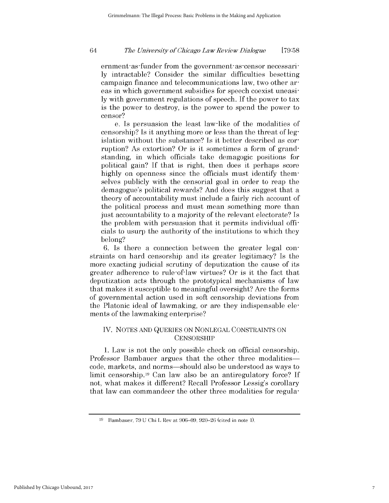#### *Tho Univorsity of Ohicago Law Roviow Dialoguo* **[79:58**

ernment-as-funder from the government-as-censor necessarily intractable? Consider the similar difficulties besetting campaign finance and telecommunications law, two other areas in which government subsidies for speech coexist uneasily with government regulations of speech. If the power to tax is the power to destroy, is the power to spend the power to censor?

e. Is persuasion the least law-like of the modalities of censorship? Is it anything more or less than the threat of legislation without the substance? Is it better described as corruption? As extortion? Or is it sometimes a form of grandstanding, in which officials take demagogic positions for political gain? If that is right, then does it perhaps score highly on openness since the officials must identify themselves publicly with the censorial goal in order to reap the demagogue's political rewards? And does this suggest that a theory of accountability must include a fairly rich account of the political process and must mean something more than just accountability to a majority of the relevant electorate? Is the problem with persuasion that it permits individual officials to usurp the authority of the institutions to which they belong?

6. Is there a connection between the greater legal constraints on hard censorship and its greater legitimacy? Is the more exacting judicial scrutiny of deputization the cause of its greater adherence to rule-of-law virtues? Or is it the fact that deputization acts through the prototypical mechanisms of law that makes it susceptible to meaningful oversight? Are the forms of governmental action used in soft censorship deviations from the Platonic ideal of lawmaking, or are they indispensable elements of the lawmaking enterprise?

## IV. NOTES AND QUERIES ON NONLEGAL CONSTRAINTS ON **CENSORSHIP**

1. Law is not the only possible check on official censorship. Professor Bambauer argues that the other three modalitiescode, markets, and norms-should also be understood as ways to limit censorship.19 Can law also be an antiregulatory force? If not, what makes it different? Recall Professor Lessig's corollary that law can commandeer the other three modalities for regula-

<sup>19</sup> Bambauer, 79 U Chi L Rev at 906-09, 920-26 (cited in note 1).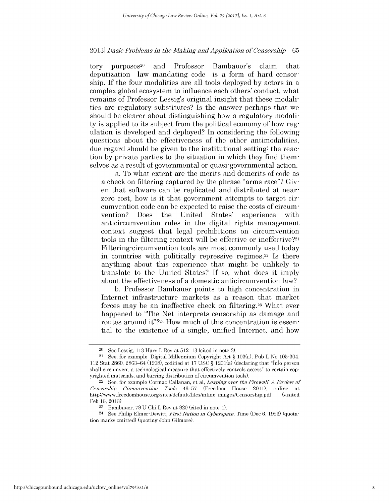### 2013] *Basic Probloms in the Making and Application of Consors-hip* 65

tory purposes<sup>20</sup> and Professor Bambauer's claim that deputization-law mandating code-is a form of hard censorship. If the four modalities are all tools deployed by actors in a complex global ecosystem to influence each others' conduct, what remains of Professor Lessig's original insight that these modalities are regulatory substitutes? Is the answer perhaps that we should be clearer about distinguishing how a regulatory modality is applied to its subject from the political economy of how regulation is developed and deployed? In considering the following questions about the effectiveness of the other antimodalities, due regard should be given to the institutional setting: the reaction by private parties to the situation in which they find themselves as a result of governmental or quasi-governmental action.

a. To what extent are the merits and demerits of code as a check on filtering captured by the phrase "arms race"? Given that software can be replicated and distributed at nearzero cost, how is it that government attempts to target circumvention code can be expected to raise the costs of circumvention? Does the United States' experience with anticircumvention rules in the digital rights management context suggest that legal prohibitions on circumvention tools in the filtering context will be effective or ineffective?21 Filtering-circumvention tools are most commonly used today in countries with politically repressive regimes.<sup>22</sup> Is there anything about this experience that might be unlikely to translate to the United States? If so, what does it imply about the effectiveness of a domestic anticircumvention law?

b. Professor Bambauer points to high concentration in Internet infrastructure markets as a reason that market forces may be an ineffective check on filtering.23 What ever happened to "The Net interprets censorship as damage and routes around it"?<sup>24</sup> How much of this concentration is essential to the existence of a single, unified Internet, and how

 $20$  See Lessig, 113 Harv L Rev at  $512-13$  (cited in note 3).

<sup>21</sup> See, for example, Digital Millennium Copyright Act § 103(a), Pub L No 105-304, 112 Stat 2860, 2863-64 (1998), codified at 17 USC § 1201(a) (declaring that "[n]o person shall circumvent a technological measure that effectively controls access" to certain copyrighted materials, and barring distribution of circumvention tools).

<sup>&</sup>lt;sup>22</sup> See, for example Cormac Callanan, et al, *Leaping over the Firewall A Review of Consors-hip Circumvention Tools* 46-57 (Freedom House 2011), online at http://www.freedomhouse.org/sites/default/files/inline-images/Censorship.pdf (visited Feb 16, 2013).

<sup>23</sup> Bambauer, 79 U Chi L Rev at 920 (cited in note 1).

<sup>24</sup> See Philip Elmer-Dewitt, *First Nation in Cyborspaco,* Time (Dec 6, 1993) (quotation marks omitted) (quoting John Gilmore).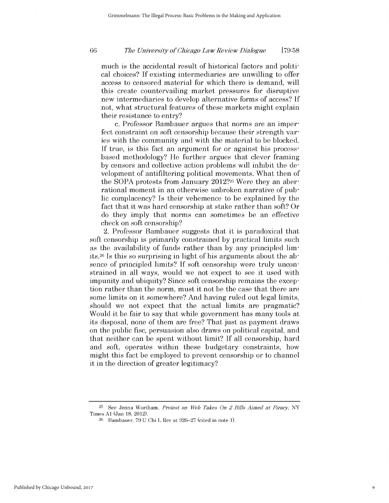much is the accidental result of historical factors and political choices? If existing intermediaries are unwilling to offer access to censored material for which there is demand, will this create countervailing market pressures for disruptive new intermediaries to develop alternative forms of access? If not, what structural features of these markets might explain their resistance to entry?

c. Professor Bambauer argues that norms are an imperfect constraint on soft censorship because their strength varies with the community and with the material to be blocked. If true, is this fact an argument for or against his process based methodology? He further argues that clever framing by censors and collective action problems will inhibit the development of antifiltering political movements. What then of the SOPA protests from January 2012?25 Were they an aberrational moment in an otherwise unbroken narrative of public complacency? Is their vehemence to be explained by the fact that it was hard censorship at stake rather than soft? Or do they imply that norms can sometimes be an effective check on soft censorship?

2. Professor Bambauer suggests that it is paradoxical that soft censorship is primarily constrained by practical limits such as the availability of funds rather than by any principled limits.26 Is this so surprising in light of his arguments about the absence of principled limits? If soft censorship were truly unconstrained in all ways, would we not expect to see it used with impunity and ubiquity? Since soft censorship remains the exception rather than the norm, must it not be the case that there are some limits on it somewhere? And having ruled out legal limits, should we not expect that the actual limits are pragmatic? Would it be fair to say that while government has many tools at its disposal, none of them are free? That just as payment draws on the public fisc, persuasion also draws on political capital, and that neither can be spent without limit? If all censorship, hard and soft, operates within these budgetary constraints, how might this fact be employed to prevent censorship or to channel it in the direction of greater legitimacy?

<sup>25</sup> See Jenna Wortham, *Protost on Web Takes On 2 Bills Aimed at Piracy,* NY Times **Al** (Jan 18, 2012).

<sup>26</sup> Bambauer, 79 U Chi L Rev at 926-27 (cited in note 1).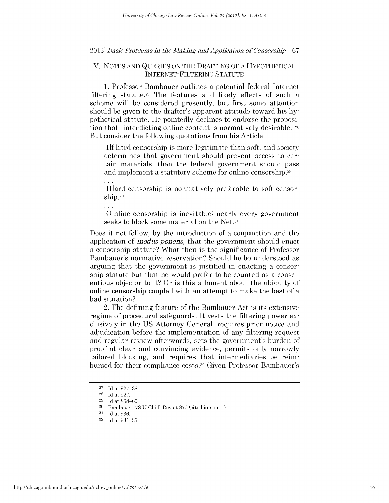## 2013] *Basic Problems in the Making and Application of Consors-hip 67*

## V. NOTES AND QUERIES ON THE DRAFTING OF A HYPOTHETICAL INTERNET- FILTERING STATUTE

1. Professor Bambauer outlines a potential federal Internet filtering statute.<sup>27</sup> The features and likely effects of such a scheme will be considered presently, but first some attention should be given to the drafter's apparent attitude toward his hypothetical statute. He pointedly declines to endorse the proposition that "interdicting online content is normatively desirable."28 But consider the following quotations from his Article:

**[If** hard censorship is more legitimate than soft, and society determines that government should prevent access to certain materials, then the federal government should pass and implement a statutory scheme for online censorship.29

IH]ard censorship is normatively preferable to soft censorship.<sup>30</sup>

[O]nline censorship is inevitable: nearly every government seeks to block some material on the Net.<sup>31</sup>

Does it not follow, by the introduction of a conjunction and the application of *mod us ponens,* that the government should enact a censorship statute? What then is the significance of Professor Bambauer's normative reservation? Should he be understood as arguing that the government is justified in enacting a censorship statute but that he would prefer to be counted as a conscientious objector to it? Or is this a lament about the ubiquity of online censorship coupled with an attempt to make the best of a bad situation?

2. The defining feature of the Bambauer Act is its extensive regime of procedural safeguards. It vests the filtering power exclusively in the US Attorney General, requires prior notice and adjudication before the implementation of any filtering request and regular review afterwards, sets the government's burden of proof at clear and convincing evidence, permits only narrowly tailored blocking, and requires that intermediaries be reimbursed for their compliance costs. 32 Given Professor Bambauer's

<sup>27</sup> Id at 927-38.

<sup>28</sup> Id at 927.

<sup>29</sup> Id at 868-69.

<sup>30</sup> Bambauer, 79 U Chi L Rev at 870 (cited in note 1).

<sup>31</sup> Id at 936.

<sup>32</sup> Id at 931-35.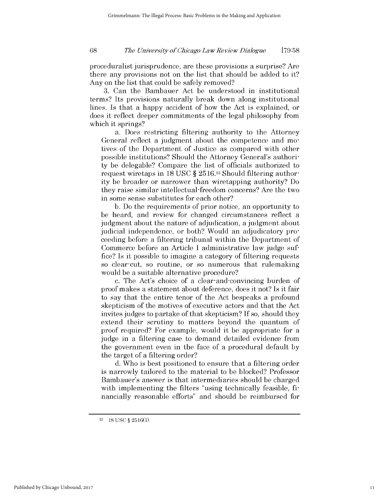#### *Tho Univorsity of Ohicago Law Roviow Dialoguo* **[79:58**

proceduralist jurisprudence, are these provisions a surprise? Are there any provisions not on the list that should be added to it? Any on the list that could be safely removed?

3. Can the Bambauer Act be understood in institutional terms? Its provisions naturally break down along institutional lines. Is that a happy accident of how the Act is explained, or does it reflect deeper commitments of the legal philosophy from which it springs?

a. Does restricting filtering authority to the Attorney General reflect a judgment about the competence and motives of the Department of Justice as compared with other possible institutions? Should the Attorney General's authority be delegable? Compare the list of officials authorized to request wiretaps in 18 USC § 2516.<sup>33</sup> Should filtering authority be broader or narrower than wiretapping authority? Do they raise similar intellectual-freedom concerns? Are the two in some sense substitutes for each other?

b. Do the requirements of prior notice, an opportunity to be heard, and review for changed circumstances reflect a judgment about the nature of adjudication, a judgment about judicial independence, or both? Would an adjudicatory proceeding before a filtering tribunal within the Department of Commerce before an Article I administrative law judge suffice? Is it possible to imagine a category of filtering requests so clear-cut, so routine, or so numerous that rulemaking would be a suitable alternative procedure?

c. The Act's choice of a clear-and-convincing burden of proof makes a statement about deference, does it not? Is it fair to say that the entire tenor of the Act bespeaks a profound skepticism of the motives of executive actors and that the Act invites judges to partake of that skepticism? If so, should they extend their scrutiny to matters beyond the quantum of proof required? For example, would it be appropriate for a judge in a filtering case to demand detailed evidence from the government even in the face of a procedural default by the target of a filtering order?

d. Who is best positioned to ensure that a filtering order is narrowly tailored to the material to be blocked? Professor Bambauer's answer is that intermediaries should be charged with implementing the filters "using technically feasible, financially reasonable efforts" and should be reimbursed for

**<sup>33</sup>**18 USC § 2516(1).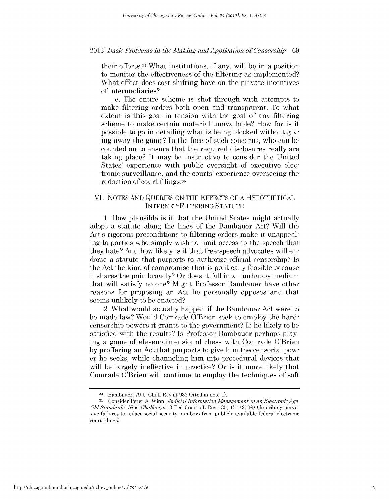### 2013] *Basic Probloms in the Making and Application of Consorship 69*

their efforts. 34 What institutions, if any, will be in a position to monitor the effectiveness of the filtering as implemented? What effect does cost-shifting have on the private incentives of intermediaries?

e. The entire scheme is shot through with attempts to make filtering orders both open and transparent. To what extent is this goal in tension with the goal of any filtering scheme to make certain material unavailable? How far is it possible to go in detailing what is being blocked without giving away the game? In the face of such concerns, who can be counted on to ensure that the required disclosures really are taking place? It may be instructive to consider the United States' experience with public oversight of executive electronic surveillance, and the courts' experience overseeing the redaction of court filings.35

## VI. NOTES AND QUERIES ON THE EFFECTS OF A HYPOTHETICAL INTERNET- FILTERING STATUTE

1. How plausible is it that the United States might actually adopt a statute along the lines of the Bambauer Act? Will the Act's rigorous preconditions to filtering orders make it unappealing to parties who simply wish to limit access to the speech that they hate? And how likely is it that free-speech advocates will endorse a statute that purports to authorize official censorship? Is the Act the kind of compromise that is politically feasible because it shares the pain broadly? Or does it fall in an unhappy medium that will satisfy no one? Might Professor Bambauer have other reasons for proposing an Act he personally opposes and that seems unlikely to be enacted?

2. What would actually happen if the Bambauer Act were to be made law? Would Comrade O'Brien seek to employ the hardcensorship powers it grants to the government? Is he likely to be satisfied with the results? Is Professor Bambauer perhaps playing a game of eleven-dimensional chess with Comrade O'Brien by proffering an Act that purports to give him the censorial power he seeks, while channeling him into procedural devices that will be largely ineffective in practice? Or is it more likely that Comrade O'Brien will continue to employ the techniques of soft

<sup>34</sup> Bambauer, 79 U Chi L Rev at 936 (cited in note 1).

**<sup>35</sup>**Consider Peter A. Winn, *Judicial Information Managomont in an Electronic Ago. Old Standards, Now Challongos,* 3 Fed Courts L Rev 135, 151 (2009) (describing pervasive failures to redact social security numbers from publicly available federal electronic court filings).